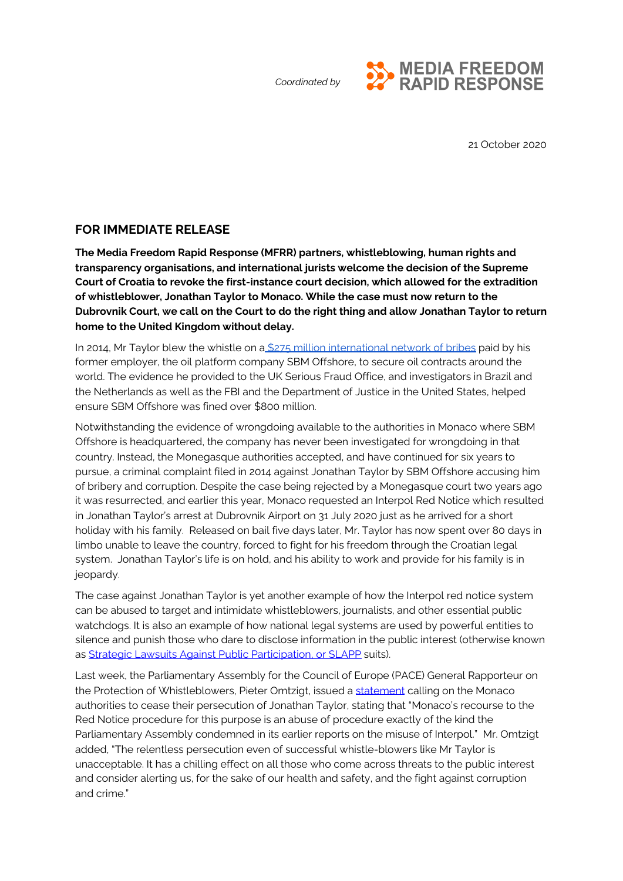

21 October 2020

## **FOR IMMEDIATE RELEASE**

**The Media Freedom Rapid Response (MFRR) partners, whistleblowing, human rights and transparency organisations, and international jurists welcome the decision of the Supreme Court of Croatia to revoke the first-instance court decision, which allowed for the extradition of whistleblower, Jonathan Taylor to Monaco. While the case must now return to the Dubrovnik Court, we call on the Court to do the right thing and allow Jonathan Taylor to return home to the United Kingdom without delay.**

In 2014, Mr Taylor blew the whistle on a \$275 million [international](https://whistleblowingnetwork.org/News-Events/News/News-Archive/Statement-on-Arrest-of-UK-Oil-Industry-Whistleblow) network of bribes paid by his former employer, the oil platform company SBM Offshore, to secure oil contracts around the world. The evidence he provided to the UK Serious Fraud Office, and investigators in Brazil and the Netherlands as well as the FBI and the Department of Justice in the United States, helped ensure SBM Offshore was fined over \$800 million.

Notwithstanding the evidence of wrongdoing available to the authorities in Monaco where SBM Offshore is headquartered, the company has never been investigated for wrongdoing in that country. Instead, the Monegasque authorities accepted, and have continued for six years to pursue, a criminal complaint filed in 2014 against Jonathan Taylor by SBM Offshore accusing him of bribery and corruption. Despite the case being rejected by a Monegasque court two years ago it was resurrected, and earlier this year, Monaco requested an Interpol Red Notice which resulted in Jonathan Taylor's arrest at Dubrovnik Airport on 31 July 2020 just as he arrived for a short holiday with his family. Released on bail five days later, Mr. Taylor has now spent over 80 days in limbo unable to leave the country, forced to fight for his freedom through the Croatian legal system. Jonathan Taylor's life is on hold, and his ability to work and provide for his family is in jeopardy.

The case against Jonathan Taylor is yet another example of how the Interpol red notice system can be abused to target and intimidate whistleblowers, journalists, and other essential public watchdogs. It is also an example of how national legal systems are used by powerful entities to silence and punish those who dare to disclose information in the public interest (otherwise known as [Strategic](https://ec.europa.eu/info/sites/info/files/ad-hoc-literature-review-analysis-key-elements-slapp_en.pdf) Lawsuits Against Public Participation, or SLAPP suits).

Last week, the Parliamentary Assembly for the Council of Europe (PACE) General Rapporteur on the Protection of Whistleblowers, Pieter Omtzigt, issued a [statement](https://pace.coe.int/en/news/8040/pieter-omtzigt-calls-for-an-end-to-the-persecution-of-uk-oil-industry-whistle-blower-jonathan-taylor) calling on the Monaco authorities to cease their persecution of Jonathan Taylor, stating that "Monaco's recourse to the Red Notice procedure for this purpose is an abuse of procedure exactly of the kind the Parliamentary Assembly condemned in its earlier reports on the misuse of Interpol." Mr. Omtzigt added, "The relentless persecution even of successful whistle-blowers like Mr Taylor is unacceptable. It has a chilling effect on all those who come across threats to the public interest and consider alerting us, for the sake of our health and safety, and the fight against corruption and crime."